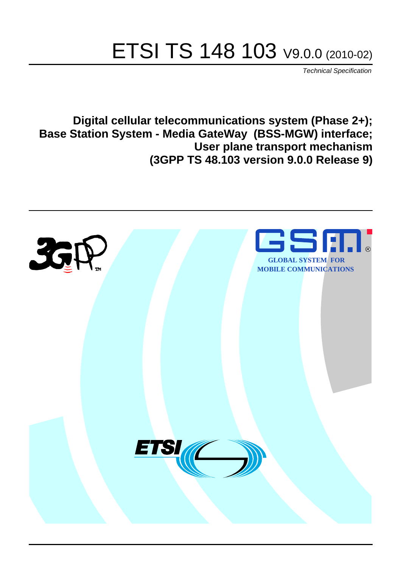# ETSI TS 148 103 V9.0.0 (2010-02)

*Technical Specification*

**Digital cellular telecommunications system (Phase 2+); Base Station System - Media GateWay (BSS-MGW) interface; User plane transport mechanism (3GPP TS 48.103 version 9.0.0 Release 9)**

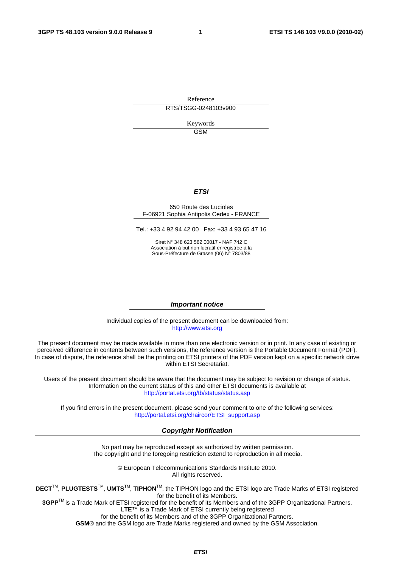Reference RTS/TSGG-0248103v900

> Keywords GSM

#### *ETSI*

#### 650 Route des Lucioles F-06921 Sophia Antipolis Cedex - FRANCE

Tel.: +33 4 92 94 42 00 Fax: +33 4 93 65 47 16

Siret N° 348 623 562 00017 - NAF 742 C Association à but non lucratif enregistrée à la Sous-Préfecture de Grasse (06) N° 7803/88

#### *Important notice*

Individual copies of the present document can be downloaded from: [http://www.etsi.org](http://www.etsi.org/)

The present document may be made available in more than one electronic version or in print. In any case of existing or perceived difference in contents between such versions, the reference version is the Portable Document Format (PDF). In case of dispute, the reference shall be the printing on ETSI printers of the PDF version kept on a specific network drive within ETSI Secretariat.

Users of the present document should be aware that the document may be subject to revision or change of status. Information on the current status of this and other ETSI documents is available at <http://portal.etsi.org/tb/status/status.asp>

If you find errors in the present document, please send your comment to one of the following services: [http://portal.etsi.org/chaircor/ETSI\\_support.asp](http://portal.etsi.org/chaircor/ETSI_support.asp)

#### *Copyright Notification*

No part may be reproduced except as authorized by written permission. The copyright and the foregoing restriction extend to reproduction in all media.

> © European Telecommunications Standards Institute 2010. All rights reserved.

**DECT**TM, **PLUGTESTS**TM, **UMTS**TM, **TIPHON**TM, the TIPHON logo and the ETSI logo are Trade Marks of ETSI registered for the benefit of its Members.

**3GPP**TM is a Trade Mark of ETSI registered for the benefit of its Members and of the 3GPP Organizational Partners. **LTE**™ is a Trade Mark of ETSI currently being registered

for the benefit of its Members and of the 3GPP Organizational Partners.

**GSM**® and the GSM logo are Trade Marks registered and owned by the GSM Association.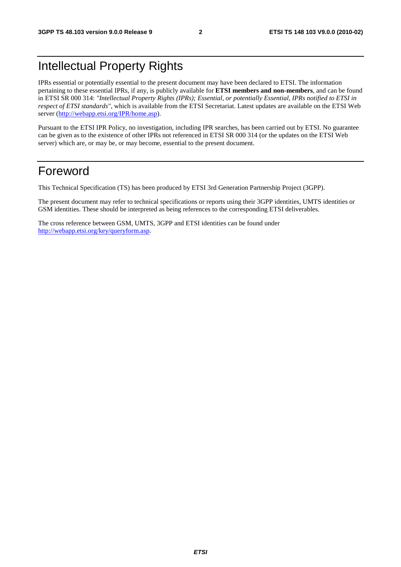### Intellectual Property Rights

IPRs essential or potentially essential to the present document may have been declared to ETSI. The information pertaining to these essential IPRs, if any, is publicly available for **ETSI members and non-members**, and can be found in ETSI SR 000 314: *"Intellectual Property Rights (IPRs); Essential, or potentially Essential, IPRs notified to ETSI in respect of ETSI standards"*, which is available from the ETSI Secretariat. Latest updates are available on the ETSI Web server [\(http://webapp.etsi.org/IPR/home.asp](http://webapp.etsi.org/IPR/home.asp)).

Pursuant to the ETSI IPR Policy, no investigation, including IPR searches, has been carried out by ETSI. No guarantee can be given as to the existence of other IPRs not referenced in ETSI SR 000 314 (or the updates on the ETSI Web server) which are, or may be, or may become, essential to the present document.

### Foreword

This Technical Specification (TS) has been produced by ETSI 3rd Generation Partnership Project (3GPP).

The present document may refer to technical specifications or reports using their 3GPP identities, UMTS identities or GSM identities. These should be interpreted as being references to the corresponding ETSI deliverables.

The cross reference between GSM, UMTS, 3GPP and ETSI identities can be found under [http://webapp.etsi.org/key/queryform.asp.](http://webapp.etsi.org/key/queryform.asp)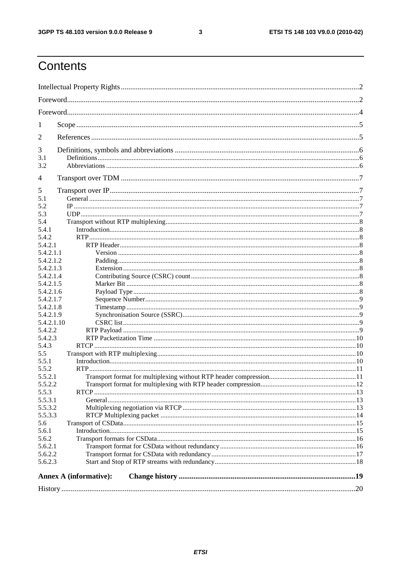#### $\mathbf{3}$

### Contents

| 1          |                        |  |  |  |  |  |
|------------|------------------------|--|--|--|--|--|
| 2          |                        |  |  |  |  |  |
| 3          |                        |  |  |  |  |  |
| 3.1        |                        |  |  |  |  |  |
| 3.2        |                        |  |  |  |  |  |
| 4          |                        |  |  |  |  |  |
| 5          |                        |  |  |  |  |  |
| 5.1        |                        |  |  |  |  |  |
| 5.2        |                        |  |  |  |  |  |
| 5.3        |                        |  |  |  |  |  |
| 5.4        |                        |  |  |  |  |  |
| 5.4.1      |                        |  |  |  |  |  |
| 5.4.2      |                        |  |  |  |  |  |
| 5.4.2.1    |                        |  |  |  |  |  |
| 5.4.2.1.1  |                        |  |  |  |  |  |
| 5.4.2.1.2  |                        |  |  |  |  |  |
| 5.4.2.1.3  |                        |  |  |  |  |  |
| 5.4.2.1.4  |                        |  |  |  |  |  |
| 5.4.2.1.5  |                        |  |  |  |  |  |
| 5.4.2.1.6  |                        |  |  |  |  |  |
| 5.4.2.1.7  |                        |  |  |  |  |  |
| 5.4.2.1.8  |                        |  |  |  |  |  |
| 5.4.2.1.9  |                        |  |  |  |  |  |
| 5.4.2.1.10 |                        |  |  |  |  |  |
| 5.4.2.2    |                        |  |  |  |  |  |
| 5.4.2.3    |                        |  |  |  |  |  |
| 5.4.3      |                        |  |  |  |  |  |
| 5.5        |                        |  |  |  |  |  |
| 5.5.1      |                        |  |  |  |  |  |
| 5.5.2      |                        |  |  |  |  |  |
| 5.5.2.1    |                        |  |  |  |  |  |
| 5.5.2.2    |                        |  |  |  |  |  |
| 5.5.3      |                        |  |  |  |  |  |
| 5.5.3.1    |                        |  |  |  |  |  |
| 5.5.3.2    |                        |  |  |  |  |  |
| 5.5.3.3    |                        |  |  |  |  |  |
| 5.6        |                        |  |  |  |  |  |
| 5.6.1      |                        |  |  |  |  |  |
| 5.6.2      |                        |  |  |  |  |  |
| 5.6.2.1    |                        |  |  |  |  |  |
| 5.6.2.2    |                        |  |  |  |  |  |
| 5.6.2.3    |                        |  |  |  |  |  |
|            | Annex A (informative): |  |  |  |  |  |
|            |                        |  |  |  |  |  |
|            |                        |  |  |  |  |  |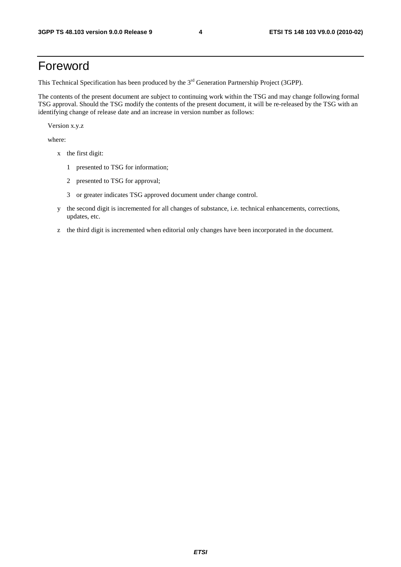### Foreword

This Technical Specification has been produced by the 3<sup>rd</sup> Generation Partnership Project (3GPP).

The contents of the present document are subject to continuing work within the TSG and may change following formal TSG approval. Should the TSG modify the contents of the present document, it will be re-released by the TSG with an identifying change of release date and an increase in version number as follows:

Version x.y.z

where:

- x the first digit:
	- 1 presented to TSG for information;
	- 2 presented to TSG for approval;
	- 3 or greater indicates TSG approved document under change control.
- y the second digit is incremented for all changes of substance, i.e. technical enhancements, corrections, updates, etc.
- z the third digit is incremented when editorial only changes have been incorporated in the document.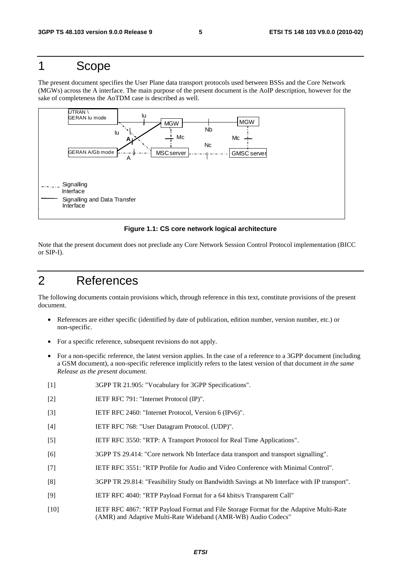### 1 Scope

The present document specifies the User Plane data transport protocols used between BSSs and the Core Network (MGWs) across the A interface. The main purpose of the present document is the AoIP description, however for the sake of completeness the AoTDM case is described as well.



#### **Figure 1.1: CS core network logical architecture**

Note that the present document does not preclude any Core Network Session Control Protocol implementation (BICC or SIP-I).

### 2 References

The following documents contain provisions which, through reference in this text, constitute provisions of the present document.

- References are either specific (identified by date of publication, edition number, version number, etc.) or non-specific.
- For a specific reference, subsequent revisions do not apply.
- For a non-specific reference, the latest version applies. In the case of a reference to a 3GPP document (including a GSM document), a non-specific reference implicitly refers to the latest version of that document *in the same Release as the present document*.
- [1] 3GPP TR 21.905: "Vocabulary for 3GPP Specifications".
- [2] IETF RFC 791: "Internet Protocol (IP)".
- [3] IETF RFC 2460: "Internet Protocol, Version 6 (IPv6)".
- [4] IETF RFC 768: "User Datagram Protocol. (UDP)".
- [5] IETF RFC 3550: "RTP: A Transport Protocol for Real Time Applications".
- [6] 3GPP TS 29.414: "Core network Nb Interface data transport and transport signalling".
- [7] IETF RFC 3551: "RTP Profile for Audio and Video Conference with Minimal Control".
- [8] 3GPP TR 29.814: "Feasibility Study on Bandwidth Savings at Nb Interface with IP transport".
- [9] IETF RFC 4040: "RTP Payload Format for a 64 kbits/s Transparent Call"
- [10] IETF RFC 4867: "RTP Payload Format and File Storage Format for the Adaptive Multi-Rate (AMR) and Adaptive Multi-Rate Wideband (AMR-WB) Audio Codecs"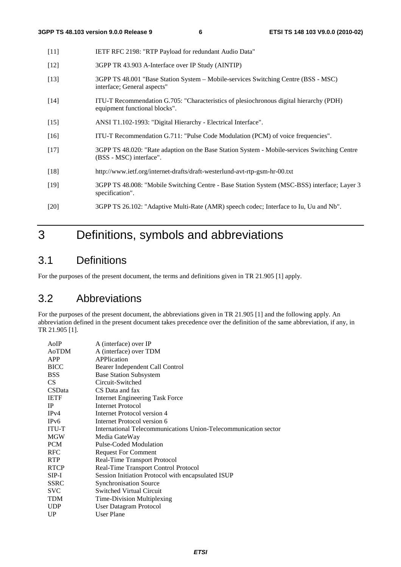| $[11]$ | IETF RFC 2198: "RTP Payload for redundant Audio Data"                                                                   |
|--------|-------------------------------------------------------------------------------------------------------------------------|
| $[12]$ | 3GPP TR 43.903 A-Interface over IP Study (AINTIP)                                                                       |
| $[13]$ | 3GPP TS 48.001 "Base Station System – Mobile-services Switching Centre (BSS - MSC)<br>interface; General aspects"       |
| $[14]$ | ITU-T Recommendation G.705: "Characteristics of plesiochronous digital hierarchy (PDH)<br>equipment functional blocks". |
| $[15]$ | ANSI T1.102-1993: "Digital Hierarchy - Electrical Interface".                                                           |
| $[16]$ | ITU-T Recommendation G.711: "Pulse Code Modulation (PCM) of voice frequencies".                                         |
| $[17]$ | 3GPP TS 48.020: "Rate adaption on the Base Station System - Mobile-services Switching Centre<br>(BSS - MSC) interface". |
| $[18]$ | http://www.ietf.org/internet-drafts/draft-westerlund-avt-rtp-gsm-hr-00.txt                                              |
| [19]   | 3GPP TS 48.008: "Mobile Switching Centre - Base Station System (MSC-BSS) interface; Layer 3<br>specification".          |
| [20]   | 3GPP TS 26.102: "Adaptive Multi-Rate (AMR) speech codec; Interface to Iu, Uu and Nb".                                   |

### 3 Definitions, symbols and abbreviations

### 3.1 Definitions

For the purposes of the present document, the terms and definitions given in TR 21.905 [1] apply.

### 3.2 Abbreviations

For the purposes of the present document, the abbreviations given in TR 21.905 [1] and the following apply. An abbreviation defined in the present document takes precedence over the definition of the same abbreviation, if any, in TR 21.905 [1].

| AoIP          | A (interface) over IP                                           |
|---------------|-----------------------------------------------------------------|
| AoTDM         | A (interface) over TDM                                          |
| APP           | APPlication                                                     |
| <b>BICC</b>   | Bearer Independent Call Control                                 |
| <b>BSS</b>    | <b>Base Station Subsystem</b>                                   |
| CS            | Circuit-Switched                                                |
| <b>CSData</b> | CS Data and fax                                                 |
| <b>IETF</b>   | <b>Internet Engineering Task Force</b>                          |
| <b>IP</b>     | <b>Internet Protocol</b>                                        |
| IPv4          | Internet Protocol version 4                                     |
| IPv6          | Internet Protocol version 6                                     |
| <b>ITU-T</b>  | International Telecommunications Union-Telecommunication sector |
| <b>MGW</b>    | Media GateWay                                                   |
| <b>PCM</b>    | <b>Pulse-Coded Modulation</b>                                   |
| <b>RFC</b>    | <b>Request For Comment</b>                                      |
| <b>RTP</b>    | Real-Time Transport Protocol                                    |
| <b>RTCP</b>   | Real-Time Transport Control Protocol                            |
| $SIP-I$       | Session Initiation Protocol with encapsulated ISUP              |
| <b>SSRC</b>   | <b>Synchronisation Source</b>                                   |
| <b>SVC</b>    | <b>Switched Virtual Circuit</b>                                 |
| <b>TDM</b>    | Time-Division Multiplexing                                      |
| <b>UDP</b>    | User Datagram Protocol                                          |
| UP            | <b>User Plane</b>                                               |
|               |                                                                 |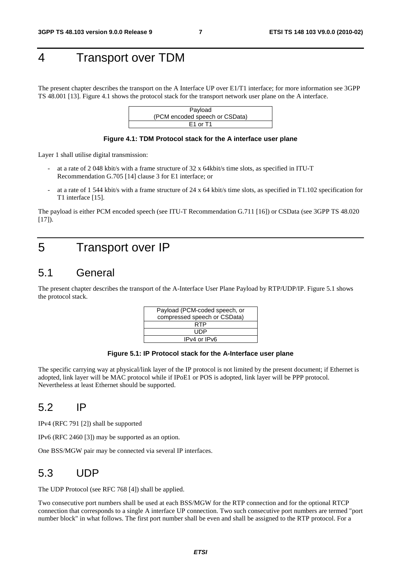### 4 Transport over TDM

The present chapter describes the transport on the A Interface UP over E1/T1 interface; for more information see 3GPP TS 48.001 [13]. Figure 4.1 shows the protocol stack for the transport network user plane on the A interface.



#### **Figure 4.1: TDM Protocol stack for the A interface user plane**

Layer 1 shall utilise digital transmission:

- at a rate of 2 048 kbit/s with a frame structure of 32 x 64kbit/s time slots, as specified in ITU-T Recommendation G.705 [14] clause 3 for E1 interface; or
- at a rate of 1 544 kbit/s with a frame structure of 24 x 64 kbit/s time slots, as specified in T1.102 specification for T1 interface [15].

The payload is either PCM encoded speech (see ITU-T Recommendation G.711 [16]) or CSData (see 3GPP TS 48.020  $[17]$ ).

### 5 Transport over IP

### 5.1 General

The present chapter describes the transport of the A-Interface User Plane Payload by RTP/UDP/IP. Figure 5.1 shows the protocol stack.

| Payload (PCM-coded speech, or |  |
|-------------------------------|--|
| compressed speech or CSData)  |  |
| RTP                           |  |
| UDP                           |  |
| IPv4 or IPv6                  |  |
|                               |  |

#### **Figure 5.1: IP Protocol stack for the A-Interface user plane**

The specific carrying way at physical/link layer of the IP protocol is not limited by the present document; if Ethernet is adopted, link layer will be MAC protocol while if IPoE1 or POS is adopted, link layer will be PPP protocol. Nevertheless at least Ethernet should be supported.

### 5.2 IP

IPv4 (RFC 791 [2]) shall be supported

IPv6 (RFC 2460 [3]) may be supported as an option.

One BSS/MGW pair may be connected via several IP interfaces.

### 5.3 UDP

The UDP Protocol (see RFC 768 [4]) shall be applied.

Two consecutive port numbers shall be used at each BSS/MGW for the RTP connection and for the optional RTCP connection that corresponds to a single A interface UP connection. Two such consecutive port numbers are termed "port number block" in what follows. The first port number shall be even and shall be assigned to the RTP protocol. For a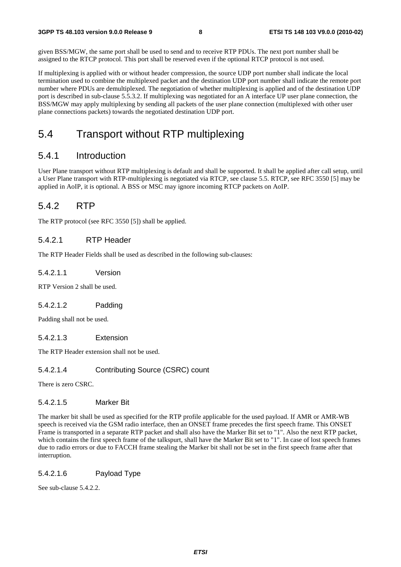given BSS/MGW, the same port shall be used to send and to receive RTP PDUs. The next port number shall be assigned to the RTCP protocol. This port shall be reserved even if the optional RTCP protocol is not used.

If multiplexing is applied with or without header compression, the source UDP port number shall indicate the local termination used to combine the multiplexed packet and the destination UDP port number shall indicate the remote port number where PDUs are demultiplexed. The negotiation of whether multiplexing is applied and of the destination UDP port is described in sub-clause 5.5.3.2. If multiplexing was negotiated for an A interface UP user plane connection, the BSS/MGW may apply multiplexing by sending all packets of the user plane connection (multiplexed with other user plane connections packets) towards the negotiated destination UDP port.

### 5.4 Transport without RTP multiplexing

#### 5.4.1 Introduction

User Plane transport without RTP multiplexing is default and shall be supported. It shall be applied after call setup, until a User Plane transport with RTP-multiplexing is negotiated via RTCP, see clause 5.5. RTCP, see RFC 3550 [5] may be applied in AoIP, it is optional. A BSS or MSC may ignore incoming RTCP packets on AoIP.

#### 5.4.2 RTP

The RTP protocol (see RFC 3550 [5]) shall be applied.

#### 5.4.2.1 RTP Header

The RTP Header Fields shall be used as described in the following sub-clauses:

#### 5.4.2.1.1 Version

RTP Version 2 shall be used.

#### 5.4.2.1.2 Padding

Padding shall not be used.

#### 5.4.2.1.3 Extension

The RTP Header extension shall not be used.

#### 5.4.2.1.4 Contributing Source (CSRC) count

There is zero CSRC.

#### 5.4.2.1.5 Marker Bit

The marker bit shall be used as specified for the RTP profile applicable for the used payload. If AMR or AMR-WB speech is received via the GSM radio interface, then an ONSET frame precedes the first speech frame. This ONSET Frame is transported in a separate RTP packet and shall also have the Marker Bit set to "1". Also the next RTP packet, which contains the first speech frame of the talkspurt, shall have the Marker Bit set to "1". In case of lost speech frames due to radio errors or due to FACCH frame stealing the Marker bit shall not be set in the first speech frame after that interruption.

#### 5.4.2.1.6 Payload Type

See sub-clause 5.4.2.2.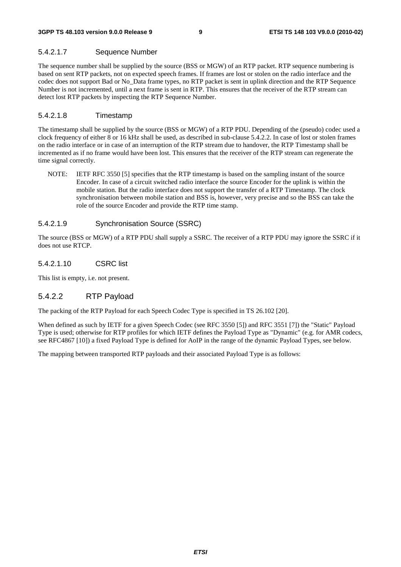#### 5.4.2.1.7 Sequence Number

The sequence number shall be supplied by the source (BSS or MGW) of an RTP packet. RTP sequence numbering is based on sent RTP packets, not on expected speech frames. If frames are lost or stolen on the radio interface and the codec does not support Bad or No\_Data frame types, no RTP packet is sent in uplink direction and the RTP Sequence Number is not incremented, until a next frame is sent in RTP. This ensures that the receiver of the RTP stream can detect lost RTP packets by inspecting the RTP Sequence Number.

#### 5.4.2.1.8 Timestamp

The timestamp shall be supplied by the source (BSS or MGW) of a RTP PDU. Depending of the (pseudo) codec used a clock frequency of either 8 or 16 kHz shall be used, as described in sub-clause 5.4.2.2. In case of lost or stolen frames on the radio interface or in case of an interruption of the RTP stream due to handover, the RTP Timestamp shall be incremented as if no frame would have been lost. This ensures that the receiver of the RTP stream can regenerate the time signal correctly.

NOTE: **IETF RFC 3550 [5] specifies that the RTP timestamp is based on the sampling instant of the source** Encoder. In case of a circuit switched radio interface the source Encoder for the uplink is within the mobile station. But the radio interface does not support the transfer of a RTP Timestamp. The clock synchronisation between mobile station and BSS is, however, very precise and so the BSS can take the role of the source Encoder and provide the RTP time stamp.

#### 5.4.2.1.9 Synchronisation Source (SSRC)

The source (BSS or MGW) of a RTP PDU shall supply a SSRC. The receiver of a RTP PDU may ignore the SSRC if it does not use RTCP.

#### 5.4.2.1.10 CSRC list

This list is empty, i.e. not present.

#### 5.4.2.2 RTP Payload

The packing of the RTP Payload for each Speech Codec Type is specified in TS 26.102 [20].

When defined as such by IETF for a given Speech Codec (see RFC 3550 [5]) and RFC 3551 [7]) the "Static" Payload Type is used; otherwise for RTP profiles for which IETF defines the Payload Type as "Dynamic" (e.g. for AMR codecs, see RFC4867 [10]) a fixed Payload Type is defined for AoIP in the range of the dynamic Payload Types, see below.

The mapping between transported RTP payloads and their associated Payload Type is as follows: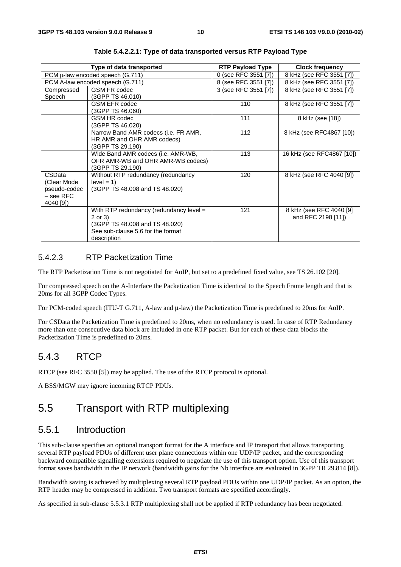|              | Type of data transported                  | <b>RTP Payload Type</b> | <b>Clock frequency</b>    |
|--------------|-------------------------------------------|-------------------------|---------------------------|
|              | PCM $\mu$ -law encoded speech (G.711)     | 0 (see RFC 3551 [7])    | 8 kHz (see RFC 3551 [7])  |
|              | PCM A-law encoded speech (G.711)          | 8 (see RFC 3551 [7])    | 8 kHz (see RFC 3551 [7])  |
| Compressed   | <b>GSM FR codec</b>                       | 3 (see RFC 3551 [7])    | 8 kHz (see RFC 3551 [7])  |
| Speech       | (3GPP TS 46.010)                          |                         |                           |
|              | <b>GSM EFR codec</b>                      | 110                     | 8 kHz (see RFC 3551 [7])  |
|              | (3GPP TS 46.060)                          |                         |                           |
|              | <b>GSM HR codec</b>                       | 111                     | 8 kHz (see [18])          |
|              | (3GPP TS 46.020)                          |                         |                           |
|              | Narrow Band AMR codecs (i.e. FR AMR,      | 112                     | 8 kHz (see RFC4867 [10])  |
|              | HR AMR and OHR AMR codecs)                |                         |                           |
|              | (3GPP TS 29.190)                          |                         |                           |
|              | Wide Band AMR codecs (i.e. AMR-WB,        | 113                     | 16 kHz (see RFC4867 [10]) |
|              | OFR AMR-WB and OHR AMR-WB codecs)         |                         |                           |
|              | (3GPP TS 29.190)                          |                         |                           |
| CSData       | Without RTP redundancy (redundancy        | 120                     | 8 kHz (see RFC 4040 [9])  |
| (Clear Mode  | $level = 1$                               |                         |                           |
| pseudo-codec | (3GPP TS 48.008 and TS 48.020)            |                         |                           |
| – see RFC    |                                           |                         |                           |
| 4040 [9])    |                                           |                         |                           |
|              | With RTP redundancy (redundancy level $=$ | 121                     | 8 kHz (see RFC 4040 [9]   |
|              | 2 or 3)                                   |                         | and RFC 2198 [11])        |
|              | (3GPP TS 48.008 and TS 48.020)            |                         |                           |
|              | See sub-clause 5.6 for the format         |                         |                           |
|              | description                               |                         |                           |

**Table 5.4.2.2.1: Type of data transported versus RTP Payload Type** 

#### 5.4.2.3 RTP Packetization Time

The RTP Packetization Time is not negotiated for AoIP, but set to a predefined fixed value, see TS 26.102 [20].

For compressed speech on the A-Interface the Packetization Time is identical to the Speech Frame length and that is 20ms for all 3GPP Codec Types.

For PCM-coded speech (ITU-T G.711, A-law and μ-law) the Packetization Time is predefined to 20ms for AoIP.

For CSData the Packetization Time is predefined to 20ms, when no redundancy is used. In case of RTP Redundancy more than one consecutive data block are included in one RTP packet. But for each of these data blocks the Packetization Time is predefined to 20ms.

#### 5.4.3 RTCP

RTCP (see RFC 3550 [5]) may be applied. The use of the RTCP protocol is optional.

A BSS/MGW may ignore incoming RTCP PDUs.

### 5.5 Transport with RTP multiplexing

#### 5.5.1 Introduction

This sub-clause specifies an optional transport format for the A interface and IP transport that allows transporting several RTP payload PDUs of different user plane connections within one UDP/IP packet, and the corresponding backward compatible signalling extensions required to negotiate the use of this transport option. Use of this transport format saves bandwidth in the IP network (bandwidth gains for the Nb interface are evaluated in 3GPP TR 29.814 [8]).

Bandwidth saving is achieved by multiplexing several RTP payload PDUs within one UDP/IP packet. As an option, the RTP header may be compressed in addition. Two transport formats are specified accordingly.

As specified in sub-clause 5.5.3.1 RTP multiplexing shall not be applied if RTP redundancy has been negotiated.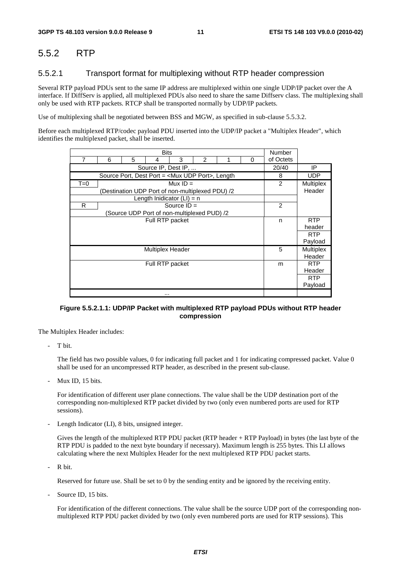### 5.5.2 RTP

#### 5.5.2.1 Transport format for multiplexing without RTP header compression

Several RTP payload PDUs sent to the same IP address are multiplexed within one single UDP/IP packet over the A interface. If DiffServ is applied, all multiplexed PDUs also need to share the same Diffserv class. The multiplexing shall only be used with RTP packets. RTCP shall be transported normally by UDP/IP packets.

Use of multiplexing shall be negotiated between BSS and MGW, as specified in sub-clause 5.5.3.2.

Before each multiplexed RTP/codec payload PDU inserted into the UDP/IP packet a "Multiplex Header", which identifies the multiplexed packet, shall be inserted.

| <b>Bits</b>     |   |   |                                                             |               |                |  |   | <b>Number</b>  |                  |
|-----------------|---|---|-------------------------------------------------------------|---------------|----------------|--|---|----------------|------------------|
| 7               | 6 | 5 | 4                                                           | 3             | $\overline{2}$ |  | 0 | of Octets      |                  |
|                 |   |   | Source IP, Dest IP,                                         |               |                |  |   | 20/40          | IP               |
|                 |   |   | Source Port, Dest Port = <mux port="" udp="">, Length</mux> |               |                |  |   | 8              | <b>UDP</b>       |
| $T=0$           |   |   |                                                             | Mux $ID =$    |                |  |   | 2              | <b>Multiplex</b> |
|                 |   |   | (Destination UDP Port of non-multiplexed PDU) /2            |               |                |  |   |                | Header           |
|                 |   |   | Length Inidicator $(LI) = n$                                |               |                |  |   |                |                  |
| R               |   |   |                                                             | Source $ID =$ |                |  |   | $\overline{2}$ |                  |
|                 |   |   | (Source UDP Port of non-multiplexed PUD) /2                 |               |                |  |   |                |                  |
|                 |   |   | Full RTP packet                                             |               |                |  |   | n              | <b>RTP</b>       |
|                 |   |   |                                                             |               |                |  |   |                | header           |
|                 |   |   |                                                             |               |                |  |   |                | <b>RTP</b>       |
|                 |   |   |                                                             |               |                |  |   |                | Payload          |
|                 |   |   | <b>Multiplex Header</b>                                     |               |                |  |   | 5              | <b>Multiplex</b> |
|                 |   |   |                                                             |               |                |  |   |                | Header           |
| Full RTP packet |   |   |                                                             |               |                |  | m | <b>RTP</b>     |                  |
|                 |   |   |                                                             |               |                |  |   |                | Header           |
|                 |   |   |                                                             |               |                |  |   |                | <b>RTP</b>       |
|                 |   |   |                                                             |               |                |  |   |                | Payload          |
|                 |   |   | $\cdots$                                                    |               |                |  |   |                |                  |

#### **Figure 5.5.2.1.1: UDP/IP Packet with multiplexed RTP payload PDUs without RTP header compression**

The Multiplex Header includes:

T bit.

 The field has two possible values, 0 for indicating full packet and 1 for indicating compressed packet. Value 0 shall be used for an uncompressed RTP header, as described in the present sub-clause.

Mux ID, 15 bits.

 For identification of different user plane connections. The value shall be the UDP destination port of the corresponding non-multiplexed RTP packet divided by two (only even numbered ports are used for RTP sessions).

Length Indicator (LI), 8 bits, unsigned integer.

 Gives the length of the multiplexed RTP PDU packet (RTP header + RTP Payload) in bytes (the last byte of the RTP PDU is padded to the next byte boundary if necessary). Maximum length is 255 bytes. This LI allows calculating where the next Multiplex Header for the next multiplexed RTP PDU packet starts.

R bit.

Reserved for future use. Shall be set to 0 by the sending entity and be ignored by the receiving entity.

Source ID, 15 bits.

 For identification of the different connections. The value shall be the source UDP port of the corresponding nonmultiplexed RTP PDU packet divided by two (only even numbered ports are used for RTP sessions). This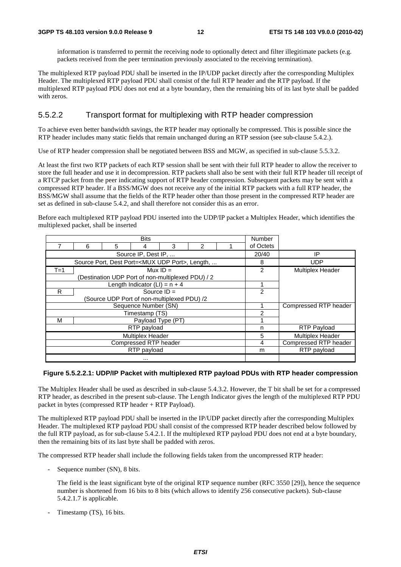information is transferred to permit the receiving node to optionally detect and filter illegitimate packets (e.g. packets received from the peer termination previously associated to the receiving termination).

The multiplexed RTP payload PDU shall be inserted in the IP/UDP packet directly after the corresponding Multiplex Header. The multiplexed RTP payload PDU shall consist of the full RTP header and the RTP payload. If the multiplexed RTP payload PDU does not end at a byte boundary, then the remaining bits of its last byte shall be padded with zeros.

#### 5.5.2.2 Transport format for multiplexing with RTP header compression

To achieve even better bandwidth savings, the RTP header may optionally be compressed. This is possible since the RTP header includes many static fields that remain unchanged during an RTP session (see sub-clause 5.4.2.).

Use of RTP header compression shall be negotiated between BSS and MGW, as specified in sub-clause 5.5.3.2.

At least the first two RTP packets of each RTP session shall be sent with their full RTP header to allow the receiver to store the full header and use it in decompression. RTP packets shall also be sent with their full RTP header till receipt of a RTCP packet from the peer indicating support of RTP header compression. Subsequent packets may be sent with a compressed RTP header. If a BSS/MGW does not receive any of the initial RTP packets with a full RTP header, the BSS/MGW shall assume that the fields of the RTP header other than those present in the compressed RTP header are set as defined in sub-clause 5.4.2, and shall therefore not consider this as an error.

Before each multiplexed RTP payload PDU inserted into the UDP/IP packet a Multiplex Header, which identifies the multiplexed packet, shall be inserted

| <b>Bits</b>             |   |                       |                                                              |                       |           |  |       |                         |
|-------------------------|---|-----------------------|--------------------------------------------------------------|-----------------------|-----------|--|-------|-------------------------|
|                         | 6 | 5                     |                                                              |                       | of Octets |  |       |                         |
|                         |   |                       | Source IP, Dest IP,                                          |                       |           |  | 20/40 | IP                      |
|                         |   |                       | Source Port, Dest Port= <mux port="" udp="">, Length, </mux> |                       |           |  | 8     | <b>UDP</b>              |
| $T=1$                   |   |                       | Mux $ID =$                                                   |                       |           |  | 2     | <b>Multiplex Header</b> |
|                         |   |                       | (Destination UDP Port of non-multiplexed PDU) / 2            |                       |           |  |       |                         |
|                         |   |                       | Length Indicator $(LI) = n + 4$                              |                       |           |  |       |                         |
| R                       |   |                       | Source $ID =$                                                |                       |           |  | 2     |                         |
|                         |   |                       | (Source UDP Port of non-multiplexed PDU) /2                  |                       |           |  |       |                         |
|                         |   |                       | Sequence Number (SN)                                         |                       |           |  |       | Compressed RTP header   |
|                         |   |                       | Timestamp (TS)                                               |                       |           |  | 2     |                         |
| M                       |   |                       | Payload Type (PT)                                            |                       |           |  |       |                         |
|                         |   |                       | RTP payload                                                  |                       |           |  | n     | <b>RTP Payload</b>      |
| <b>Multiplex Header</b> |   |                       |                                                              |                       |           |  |       | <b>Multiplex Header</b> |
|                         |   | Compressed RTP header | 4                                                            | Compressed RTP header |           |  |       |                         |
|                         |   | RTP payload           | m                                                            | RTP payload           |           |  |       |                         |
|                         |   |                       |                                                              |                       |           |  |       |                         |

#### **Figure 5.5.2.2.1: UDP/IP Packet with multiplexed RTP payload PDUs with RTP header compression**

The Multiplex Header shall be used as described in sub-clause 5.4.3.2. However, the T bit shall be set for a compressed RTP header, as described in the present sub-clause. The Length Indicator gives the length of the multiplexed RTP PDU packet in bytes (compressed RTP header + RTP Payload).

The multiplexed RTP payload PDU shall be inserted in the IP/UDP packet directly after the corresponding Multiplex Header. The multiplexed RTP payload PDU shall consist of the compressed RTP header described below followed by the full RTP payload, as for sub-clause 5.4.2.1. If the multiplexed RTP payload PDU does not end at a byte boundary, then the remaining bits of its last byte shall be padded with zeros.

The compressed RTP header shall include the following fields taken from the uncompressed RTP header:

- Sequence number (SN), 8 bits.

 The field is the least significant byte of the original RTP sequence number (RFC 3550 [29]), hence the sequence number is shortened from 16 bits to 8 bits (which allows to identify 256 consecutive packets). Sub-clause 5.4.2.1.7 is applicable.

Timestamp (TS), 16 bits.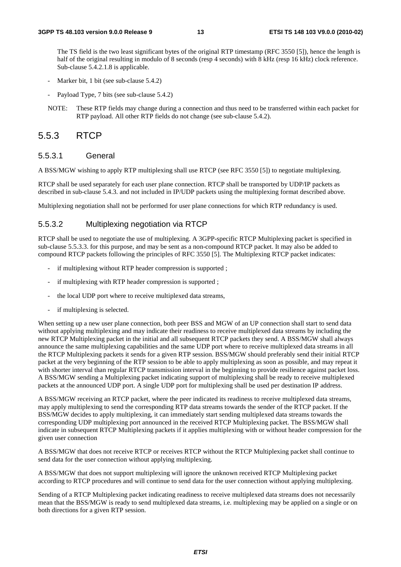The TS field is the two least significant bytes of the original RTP timestamp (RFC 3550 [5]), hence the length is half of the original resulting in modulo of 8 seconds (resp 4 seconds) with 8 kHz (resp 16 kHz) clock reference. Sub-clause 5.4.2.1.8 is applicable.

- Marker bit, 1 bit (see sub-clause 5.4.2)
- Payload Type, 7 bits (see sub-clause 5.4.2)
- NOTE: These RTP fields may change during a connection and thus need to be transferred within each packet for RTP payload. All other RTP fields do not change (see sub-clause 5.4.2).

#### 5.5.3 RTCP

#### 5.5.3.1 General

A BSS/MGW wishing to apply RTP multiplexing shall use RTCP (see RFC 3550 [5]) to negotiate multiplexing.

RTCP shall be used separately for each user plane connection. RTCP shall be transported by UDP/IP packets as described in sub-clause 5.4.3. and not included in IP/UDP packets using the multiplexing format described above.

Multiplexing negotiation shall not be performed for user plane connections for which RTP redundancy is used.

#### 5.5.3.2 Multiplexing negotiation via RTCP

RTCP shall be used to negotiate the use of multiplexing. A 3GPP-specific RTCP Multiplexing packet is specified in sub-clause 5.5.3.3. for this purpose, and may be sent as a non-compound RTCP packet. It may also be added to compound RTCP packets following the principles of RFC 3550 [5]. The Multiplexing RTCP packet indicates:

- if multiplexing without RTP header compression is supported;
- if multiplexing with RTP header compression is supported;
- the local UDP port where to receive multiplexed data streams,
- if multiplexing is selected.

When setting up a new user plane connection, both peer BSS and MGW of an UP connection shall start to send data without applying multiplexing and may indicate their readiness to receive multiplexed data streams by including the new RTCP Multiplexing packet in the initial and all subsequent RTCP packets they send. A BSS/MGW shall always announce the same multiplexing capabilities and the same UDP port where to receive multiplexed data streams in all the RTCP Multiplexing packets it sends for a given RTP session. BSS/MGW should preferably send their initial RTCP packet at the very beginning of the RTP session to be able to apply multiplexing as soon as possible, and may repeat it with shorter interval than regular RTCP transmission interval in the beginning to provide resilience against packet loss. A BSS/MGW sending a Multiplexing packet indicating support of multiplexing shall be ready to receive multiplexed packets at the announced UDP port. A single UDP port for multiplexing shall be used per destination IP address.

A BSS/MGW receiving an RTCP packet, where the peer indicated its readiness to receive multiplexed data streams, may apply multiplexing to send the corresponding RTP data streams towards the sender of the RTCP packet. If the BSS/MGW decides to apply multiplexing, it can immediately start sending multiplexed data streams towards the corresponding UDP multiplexing port announced in the received RTCP Multiplexing packet. The BSS/MGW shall indicate in subsequent RTCP Multiplexing packets if it applies multiplexing with or without header compression for the given user connection

A BSS/MGW that does not receive RTCP or receives RTCP without the RTCP Multiplexing packet shall continue to send data for the user connection without applying multiplexing.

A BSS/MGW that does not support multiplexing will ignore the unknown received RTCP Multiplexing packet according to RTCP procedures and will continue to send data for the user connection without applying multiplexing.

Sending of a RTCP Multiplexing packet indicating readiness to receive multiplexed data streams does not necessarily mean that the BSS/MGW is ready to send multiplexed data streams, i.e. multiplexing may be applied on a single or on both directions for a given RTP session.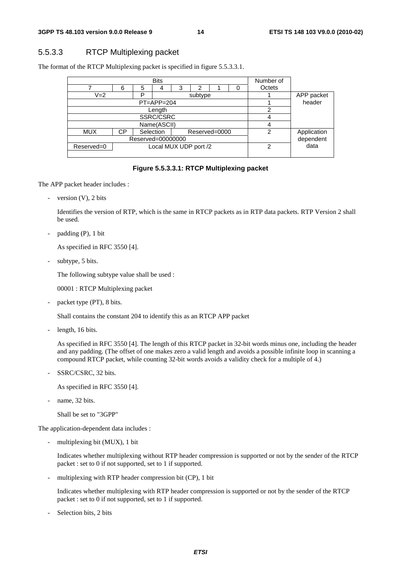#### 5.5.3.3 RTCP Multiplexing packet

The format of the RTCP Multiplexing packet is specified in figure 5.5.3.3.1.

| <b>Bits</b>                                    |                            |   |              |  |   |             |            | Number of |           |
|------------------------------------------------|----------------------------|---|--------------|--|---|-------------|------------|-----------|-----------|
|                                                | 6<br>5<br>3<br>2<br>ი<br>4 |   | Octets       |  |   |             |            |           |           |
| $V = 2$<br>D<br>subtype                        |                            |   |              |  |   |             | APP packet |           |           |
|                                                |                            |   | $PT=APP=204$ |  |   |             |            |           | header    |
|                                                |                            |   | Length       |  |   |             |            |           |           |
|                                                |                            |   | SSRC/CSRC    |  |   |             |            |           |           |
|                                                |                            | 4 |              |  |   |             |            |           |           |
| Selection<br><b>MUX</b><br>Reserved=0000<br>СP |                            |   |              |  | 2 | Application |            |           |           |
| Reserved=00000000                              |                            |   |              |  |   |             |            |           | dependent |
| Local MUX UDP port /2<br>Reserved=0            |                            |   |              |  |   | 2           | data       |           |           |
|                                                |                            |   |              |  |   |             |            |           |           |

#### **Figure 5.5.3.3.1: RTCP Multiplexing packet**

The APP packet header includes :

- version (V), 2 bits

 Identifies the version of RTP, which is the same in RTCP packets as in RTP data packets. RTP Version 2 shall be used.

 $padding (P), 1 bit$ 

As specified in RFC 3550 [4].

subtype, 5 bits.

The following subtype value shall be used :

00001 : RTCP Multiplexing packet

packet type (PT), 8 bits.

Shall contains the constant 204 to identify this as an RTCP APP packet

length, 16 bits.

 As specified in RFC 3550 [4]. The length of this RTCP packet in 32-bit words minus one, including the header and any padding. (The offset of one makes zero a valid length and avoids a possible infinite loop in scanning a compound RTCP packet, while counting 32-bit words avoids a validity check for a multiple of 4.)

SSRC/CSRC, 32 bits.

As specified in RFC 3550 [4].

name, 32 bits.

Shall be set to "3GPP"

The application-dependent data includes :

multiplexing bit (MUX), 1 bit

 Indicates whether multiplexing without RTP header compression is supported or not by the sender of the RTCP packet : set to 0 if not supported, set to 1 if supported.

multiplexing with RTP header compression bit (CP), 1 bit

 Indicates whether multiplexing with RTP header compression is supported or not by the sender of the RTCP packet : set to 0 if not supported, set to 1 if supported.

Selection bits, 2 bits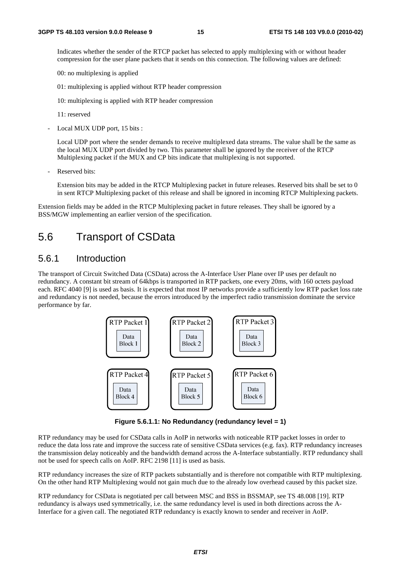Indicates whether the sender of the RTCP packet has selected to apply multiplexing with or without header compression for the user plane packets that it sends on this connection. The following values are defined:

00: no multiplexing is applied

01: multiplexing is applied without RTP header compression

10: multiplexing is applied with RTP header compression

11: reserved

Local MUX UDP port, 15 bits :

 Local UDP port where the sender demands to receive multiplexed data streams. The value shall be the same as the local MUX UDP port divided by two. This parameter shall be ignored by the receiver of the RTCP Multiplexing packet if the MUX and CP bits indicate that multiplexing is not supported.

Reserved bits:

 Extension bits may be added in the RTCP Multiplexing packet in future releases. Reserved bits shall be set to 0 in sent RTCP Multiplexing packet of this release and shall be ignored in incoming RTCP Multiplexing packets.

Extension fields may be added in the RTCP Multiplexing packet in future releases. They shall be ignored by a BSS/MGW implementing an earlier version of the specification.

### 5.6 Transport of CSData

#### 5.6.1 Introduction

The transport of Circuit Switched Data (CSData) across the A-Interface User Plane over IP uses per default no redundancy. A constant bit stream of 64kbps is transported in RTP packets, one every 20ms, with 160 octets payload each. RFC 4040 [9] is used as basis. It is expected that most IP networks provide a sufficiently low RTP packet loss rate and redundancy is not needed, because the errors introduced by the imperfect radio transmission dominate the service performance by far.



**Figure 5.6.1.1: No Redundancy (redundancy level = 1)** 

RTP redundancy may be used for CSData calls in AoIP in networks with noticeable RTP packet losses in order to reduce the data loss rate and improve the success rate of sensitive CSData services (e.g. fax). RTP redundancy increases the transmission delay noticeably and the bandwidth demand across the A-Interface substantially. RTP redundancy shall not be used for speech calls on AoIP. RFC 2198 [11] is used as basis.

RTP redundancy increases the size of RTP packets substantially and is therefore not compatible with RTP multiplexing. On the other hand RTP Multiplexing would not gain much due to the already low overhead caused by this packet size.

RTP redundancy for CSData is negotiated per call between MSC and BSS in BSSMAP, see TS 48.008 [19]. RTP redundancy is always used symmetrically, i.e. the same redundancy level is used in both directions across the A-Interface for a given call. The negotiated RTP redundancy is exactly known to sender and receiver in AoIP.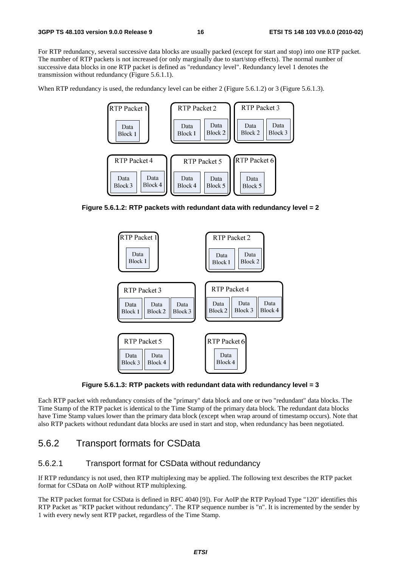For RTP redundancy, several successive data blocks are usually packed (except for start and stop) into one RTP packet. The number of RTP packets is not increased (or only marginally due to start/stop effects). The normal number of successive data blocks in one RTP packet is defined as "redundancy level". Redundancy level 1 denotes the transmission without redundancy (Figure 5.6.1.1).

When RTP redundancy is used, the redundancy level can be either 2 (Figure 5.6.1.2) or 3 (Figure 5.6.1.3).



**Figure 5.6.1.2: RTP packets with redundant data with redundancy level = 2**



**Figure 5.6.1.3: RTP packets with redundant data with redundancy level = 3** 

Each RTP packet with redundancy consists of the "primary" data block and one or two "redundant" data blocks. The Time Stamp of the RTP packet is identical to the Time Stamp of the primary data block. The redundant data blocks have Time Stamp values lower than the primary data block (except when wrap around of timestamp occurs). Note that also RTP packets without redundant data blocks are used in start and stop, when redundancy has been negotiated.

#### 5.6.2 Transport formats for CSData

#### 5.6.2.1 Transport format for CSData without redundancy

If RTP redundancy is not used, then RTP multiplexing may be applied. The following text describes the RTP packet format for CSData on AoIP without RTP multiplexing.

The RTP packet format for CSData is defined in RFC 4040 [9]). For AoIP the RTP Payload Type "120" identifies this RTP Packet as "RTP packet without redundancy". The RTP sequence number is "n". It is incremented by the sender by 1 with every newly sent RTP packet, regardless of the Time Stamp.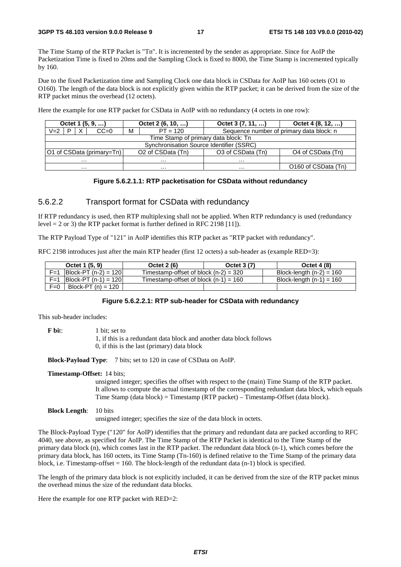The Time Stamp of the RTP Packet is "Tn". It is incremented by the sender as appropriate. Since for AoIP the Packetization Time is fixed to 20ms and the Sampling Clock is fixed to 8000, the Time Stamp is incremented typically by 160.

Due to the fixed Packetization time and Sampling Clock one data block in CSData for AoIP has 160 octets (O1 to O160). The length of the data block is not explicitly given within the RTP packet; it can be derived from the size of the RTP packet minus the overhead (12 octets).

Here the example for one RTP packet for CSData in AoIP with no redundancy (4 octets in one row):

| Octet 1 $(5, 9, )$        | Octet $2(6, 10, )$                       | Octet $3(7, 11, )$                       | Octet 4 (8, 12, )             |  |  |  |  |  |  |
|---------------------------|------------------------------------------|------------------------------------------|-------------------------------|--|--|--|--|--|--|
| $CC=0$<br>$V = 2$         | м<br>$PT = 120$                          | Sequence number of primary data block: n |                               |  |  |  |  |  |  |
|                           | Time Stamp of primary data block: Tn     |                                          |                               |  |  |  |  |  |  |
|                           | Synchronisation Source Identifier (SSRC) |                                          |                               |  |  |  |  |  |  |
| O1 of CSData (primary=Tn) | O <sub>2</sub> of CSData (Tn)            | O3 of CSData (Tn)                        | O <sub>4</sub> of CSData (Tn) |  |  |  |  |  |  |
| $\cdots$                  | $\cdots$                                 | .                                        |                               |  |  |  |  |  |  |
| $\cdots$                  | $\cdots$                                 | $\cdots$                                 | O160 of CSData (Tn)           |  |  |  |  |  |  |

#### **Figure 5.6.2.1.1: RTP packetisation for CSData without redundancy**

#### 5.6.2.2 Transport format for CSData with redundancy

If RTP redundancy is used, then RTP multiplexing shall not be applied. When RTP redundancy is used (redundancy level = 2 or 3) the RTP packet format is further defined in RFC 2198 [11]).

The RTP Payload Type of "121" in AoIP identifies this RTP packet as "RTP packet with redundancy".

RFC 2198 introduces just after the main RTP header (first 12 octets) a sub-header as (example RED=3):

| Octet 1 (5, 9)                                | Octet 2 (6)                             | Octet 3 (7) | <b>Octet 4 (8)</b>         |
|-----------------------------------------------|-----------------------------------------|-------------|----------------------------|
| $\vert$ Block-PT (n-2) = 120 $\vert$<br>$F=1$ | Timestamp-offset of block $(n-2) = 320$ |             | Block-length $(n-2) = 160$ |
| $ Block-PT (n-1) = 120 $<br>$F=1$             | Timestamp-offset of block $(n-1) = 160$ |             | Block-length $(n-1) = 160$ |
| Block-PT $(n) = 120$<br>$F=0$                 |                                         |             |                            |

#### **Figure 5.6.2.2.1: RTP sub-header for CSData with redundancy**

This sub-header includes:

**F** bit: 1 bit: set to 1, if this is a redundant data block and another data block follows 0, if this is the last (primary) data block

**Block-Payload Type**: 7 bits; set to 120 in case of CSData on AoIP.

#### **Timestamp-Offset:** 14 bits;

unsigned integer; specifies the offset with respect to the (main) Time Stamp of the RTP packet. It allows to compute the actual timestamp of the corresponding redundant data block, which equals Time Stamp (data block) = Timestamp (RTP packet) – Timestamp-Offset (data block).

#### **Block Length**: 10 bits

unsigned integer; specifies the size of the data block in octets.

The Block-Payload Type ("120" for AoIP) identifies that the primary and redundant data are packed according to RFC 4040, see above, as specified for AoIP. The Time Stamp of the RTP Packet is identical to the Time Stamp of the primary data block (n), which comes last in the RTP packet. The redundant data block (n-1), which comes before the primary data block, has 160 octets, its Time Stamp (Tn-160) is defined relative to the Time Stamp of the primary data block, i.e. Timestamp-offset  $= 160$ . The block-length of the redundant data (n-1) block is specified.

The length of the primary data block is not explicitly included, it can be derived from the size of the RTP packet minus the overhead minus the size of the redundant data blocks.

Here the example for one RTP packet with RED=2: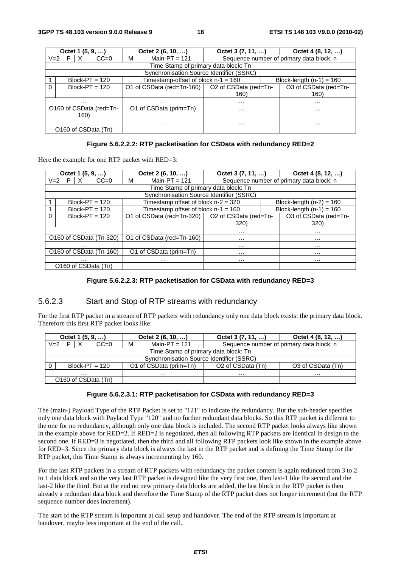|                         | Octet $1(5, 9, )$                    | Octet 2 (6, 10, )                                 | Octet $3(7, 11, )$ |                                          | Octet 4 (8, 12, )     |  |  |  |  |  |
|-------------------------|--------------------------------------|---------------------------------------------------|--------------------|------------------------------------------|-----------------------|--|--|--|--|--|
| $V = 2$                 | P.<br>$CC=0$<br>X                    | Main-PT = $121$<br>М                              |                    | Sequence number of primary data block: n |                       |  |  |  |  |  |
|                         | Time Stamp of primary data block: Tn |                                                   |                    |                                          |                       |  |  |  |  |  |
|                         |                                      | Synchronisation Source Identifier (SSRC)          |                    |                                          |                       |  |  |  |  |  |
|                         | $Block-PT = 120$                     | Timestamp-offset of block $n-1 = 160$             |                    | Block-length $(n-1) = 160$               |                       |  |  |  |  |  |
| $\Omega$                | $Block-PT = 120$                     | O1 of CSData (red=Tn-160)   O2 of CSData (red=Tn- |                    |                                          | O3 of CSData (red=Tn- |  |  |  |  |  |
|                         |                                      |                                                   | 160)               |                                          | 160)                  |  |  |  |  |  |
| $\cdots$                |                                      | .                                                 | $\cdots$           |                                          | $\cdots$              |  |  |  |  |  |
| O160 of CSData (red=Tn- |                                      | O1 of CSData (prim=Tn)                            | $\cdots$           |                                          | $\cdots$              |  |  |  |  |  |
| 160)                    |                                      |                                                   |                    |                                          |                       |  |  |  |  |  |
|                         | $\cdots$                             | $\cdots$                                          | $\cdots$           |                                          | $\cdots$              |  |  |  |  |  |
| O160 of CSData (Tn)     |                                      |                                                   |                    |                                          |                       |  |  |  |  |  |

#### **Figure 5.6.2.2.2: RTP packetisation for CSData with redundancy RED=2**

Here the example for one RTP packet with RED=3:

|         | Octet 1 $(5, 9, )$      | Octet $2(6, 10, )$                                | Octet 3 (7, 11, ) |                            | Octet 4 (8, 12, )                        |
|---------|-------------------------|---------------------------------------------------|-------------------|----------------------------|------------------------------------------|
| $V = 2$ | X<br>$CC=0$<br>P.       | Main-PT = $121$<br>M                              |                   |                            | Sequence number of primary data block: n |
|         |                         | Time Stamp of primary data block: Tn              |                   |                            |                                          |
|         |                         | Synchronisation Source Identifier (SSRC)          |                   |                            |                                          |
|         | $Block-PT = 120$        | Timestamp offset of block $n-2 = 320$             |                   |                            | Block-length $(n-2) = 160$               |
|         | $Block-PT = 120$        | Timestamp offset of block $n-1 = 160$             |                   | Block-length $(n-1) = 160$ |                                          |
| 0       | $Block-PT = 120$        | O1 of CSData (red=Tn-320)   O2 of CSData (red=Tn- |                   |                            | O3 of CSData (red=Tn-                    |
|         |                         |                                                   | 320)              |                            | 320)                                     |
|         | .                       | .                                                 | $\cdots$          |                            | $\cdots$                                 |
|         | O160 of CSData (Tn-320) | O1 of CSData (red=Tn-160)<br>$\cdots$             |                   |                            | $\cdots$                                 |
|         | .                       |                                                   | .                 |                            | .                                        |
|         | O160 of CSData (Tn-160) | O1 of CSData (prim=Tn)                            | $\cdots$          |                            | $\cdots$                                 |
|         | .                       | $\cdots$                                          | $\cdots$          |                            | .                                        |
|         | O160 of CSData (Tn)     |                                                   |                   |                            |                                          |

#### **Figure 5.6.2.2.3: RTP packetisation for CSData with redundancy RED=3**

#### 5.6.2.3 Start and Stop of RTP streams with redundancy

For the first RTP packet in a stream of RTP packets with redundancy only one data block exists: the primary data block. Therefore this first RTP packet looks like:

|                                          | Octet 1 $(5, 9, )$                   |   | Octet 2 (6, 10, )      | Octet 3 (7, 11, )             | Octet 4 $(8, 12, )$                      |  |  |
|------------------------------------------|--------------------------------------|---|------------------------|-------------------------------|------------------------------------------|--|--|
| $V = 2$<br>D                             | X<br>$CC=0$                          | M | Main-PT = $121$        |                               | Sequence number of primary data block: n |  |  |
|                                          | Time Stamp of primary data block: Tn |   |                        |                               |                                          |  |  |
| Synchronisation Source Identifier (SSRC) |                                      |   |                        |                               |                                          |  |  |
| 0                                        | $Block-PT = 120$                     |   | O1 of CSData (prim=Tn) | O <sub>2</sub> of CSData (Tn) | O3 of CSData (Tn)                        |  |  |
|                                          | .                                    |   | .                      | .                             | .                                        |  |  |
|                                          | O160 of CSData (Tn)                  |   |                        |                               |                                          |  |  |

#### **Figure 5.6.2.3.1: RTP packetisation for CSData with redundancy RED=3**

The (main-) Payload Type of the RTP Packet is set to "121" to indicate the redundancy. But the sub-header specifies only one data block with Paylaod Type "120" and no further redundant data blocks. So this RTP packet is different to the one for no redundancy, although only one data block is included. The second RTP packet looks always like shown in the example above for RED=2. If RED=2 is negotiated, then all following RTP packets are identical in design to the second one. If RED=3 is negotiated, then the third and all following RTP packets look like shown in the example above for RED=3. Since the primary data block is always the last in the RTP packet and is defining the Time Stamp for the RTP packet, this Time Stamp is always incrementing by 160.

For the last RTP packets in a stream of RTP packets with redundancy the packet content is again redunced from 3 to 2 to 1 data block and so the very last RTP packet is designed like the very first one, then last-1 like the second and the last-2 like the third. But at the end no new primary data blocks are added, the last block in the RTP packet is then already a redundant data block and therefore the Time Stamp of the RTP packet does not longer increment (but the RTP sequence number does increment).

The start of the RTP stream is important at call setup and handover. The end of the RTP stream is important at handover, maybe less important at the end of the call.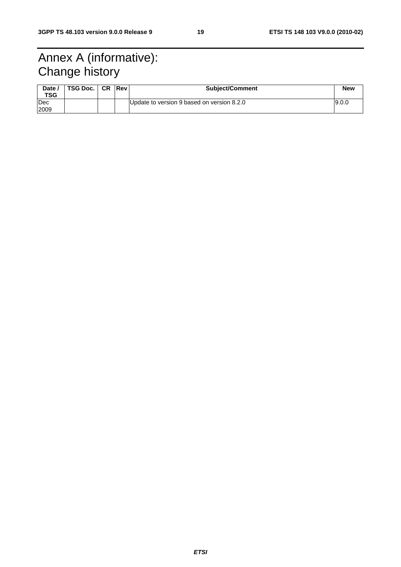### Annex A (informative): Change history

| Date /<br><b>TSG</b> | TSG Doc. | <b>CR</b> | <b>Rev</b> | <b>Subject/Comment</b>                     | <b>New</b> |
|----------------------|----------|-----------|------------|--------------------------------------------|------------|
| Dec<br>2009          |          |           |            | Update to version 9 based on version 8.2.0 | 9.0.0      |